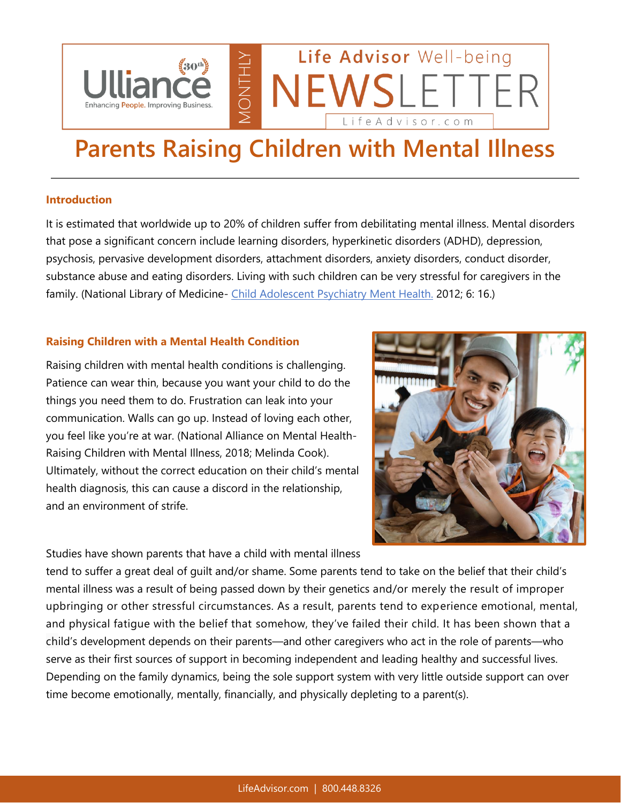

# **Parents Raising Children with Mental Illness**

#### **Introduction**

It is estimated that worldwide up to 20% of children suffer from debilitating mental illness. Mental disorders that pose a significant concern include learning disorders, hyperkinetic disorders (ADHD), depression, psychosis, pervasive development disorders, attachment disorders, anxiety disorders, conduct disorder, substance abuse and eating disorders. Living with such children can be very stressful for caregivers in the family. (National Library of Medicine- [Child Adolescent Psychiatry Ment Health.](https://nam04.safelinks.protection.outlook.com/?url=https%3A%2F%2Fwww.ncbi.nlm.nih.gov%2Fpmc%2Farticles%2FPMC3390284%2F%3Fmsclkid%3D80848d4cb5ae11ec82c428e30091794e&data=04%7C01%7Cttilton%40ulliance.com%7C4f01eabf291042f5096d08da1bff0f34%7C3ebd044102f5458daf3d8acc40dc96f6%7C0%7C0%7C637853079543699158%7CUnknown%7CTWFpbGZsb3d8eyJWIjoiMC4wLjAwMDAiLCJQIjoiV2luMzIiLCJBTiI6Ik1haWwiLCJXVCI6Mn0%3D%7C3000&sdata=m2EjJq6j3Sps%2Bf7r32bUs9kvtV9w%2FD3meGrHsT0s%2BWQ%3D&reserved=0) 2012; 6: 16.)

#### **Raising Children with a Mental Health Condition**

Raising children with mental health conditions is challenging. Patience can wear thin, because you want your child to do the things you need them to do. Frustration can leak into your communication. Walls can go up. Instead of loving each other, you feel like you're at war. (National Alliance on Mental Health-Raising Children with Mental Illness, 2018; Melinda Cook). Ultimately, without the correct education on their child's mental health diagnosis, this can cause a discord in the relationship, and an environment of strife.

Studies have shown parents that have a child with mental illness



tend to suffer a great deal of guilt and/or shame. Some parents tend to take on the belief that their child's mental illness was a result of being passed down by their genetics and/or merely the result of improper upbringing or other stressful circumstances. As a result, parents tend to experience emotional, mental, and physical fatigue with the belief that somehow, they've failed their child. It has been shown that a child's development depends on their parents—and other caregivers who act in the role of parents—who serve as their first sources of support in becoming independent and leading healthy and successful lives. Depending on the family dynamics, being the sole support system with very little outside support can over time become emotionally, mentally, financially, and physically depleting to a parent(s).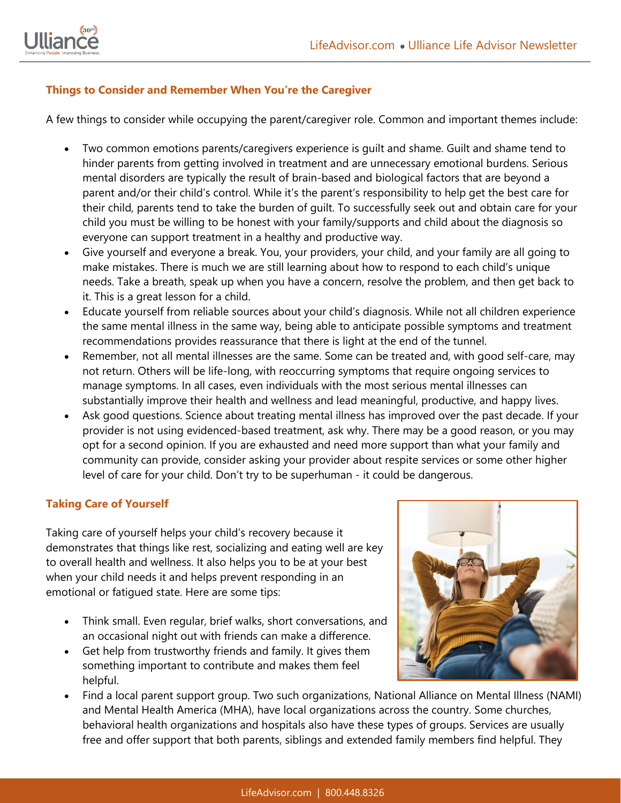



#### **Things to Consider and Remember When You're the Caregiver**

A few things to consider while occupying the parent/caregiver role. Common and important themes include:

- Two common emotions parents/caregivers experience is guilt and shame. Guilt and shame tend to hinder parents from getting involved in treatment and are unnecessary emotional burdens. Serious mental disorders are typically the result of brain-based and biological factors that are beyond a parent and/or their child's control. While it's the parent's responsibility to help get the best care for their child, parents tend to take the burden of guilt. To successfully seek out and obtain care for your child you must be willing to be honest with your family/supports and child about the diagnosis so everyone can support treatment in a healthy and productive way.
- Give yourself and everyone a break. You, your providers, your child, and your family are all going to make mistakes. There is much we are still learning about how to respond to each child's unique needs. Take a breath, speak up when you have a concern, resolve the problem, and then get back to it. This is a great lesson for a child.
- Educate yourself from reliable sources about your child's diagnosis. While not all children experience the same mental illness in the same way, being able to anticipate possible symptoms and treatment recommendations provides reassurance that there is light at the end of the tunnel.
- Remember, not all mental illnesses are the same. Some can be treated and, with good self-care, may not return. Others will be life-long, with reoccurring symptoms that require ongoing services to manage symptoms. In all cases, even individuals with the most serious mental illnesses can substantially improve their health and wellness and lead meaningful, productive, and happy lives.
- Ask good questions. Science about treating mental illness has improved over the past decade. If your provider is not using evidenced-based treatment, ask why. There may be a good reason, or you may opt for a second opinion. If you are exhausted and need more support than what your family and community can provide, consider asking your provider about respite services or some other higher level of care for your child. Don't try to be superhuman - it could be dangerous.

## **Taking Care of Yourself**

Taking care of yourself helps your child's recovery because it demonstrates that things like rest, socializing and eating well are key to overall health and wellness. It also helps you to be at your best when your child needs it and helps prevent responding in an emotional or fatigued state. Here are some tips:

- Think small. Even regular, brief walks, short conversations, and an occasional night out with friends can make a difference.
- Get help from trustworthy friends and family. It gives them something important to contribute and makes them feel helpful.



• Find a local parent support group. Two such organizations, National Alliance on Mental Illness (NAMI) and Mental Health America (MHA), have local organizations across the country. Some churches, behavioral health organizations and hospitals also have these types of groups. Services are usually free and offer support that both parents, siblings and extended family members find helpful. They